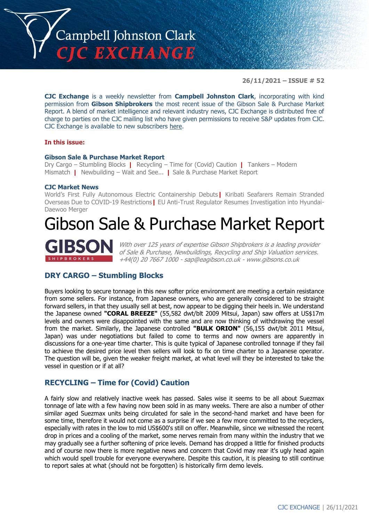

**26/11/2021 – ISSUE # 52**

**CJC Exchange** is a weekly newsletter from **Campbell Johnston Clark**, incorporating with kind permission from **Gibson Shipbrokers** the most recent issue of the Gibson Sale & Purchase Market Report. A blend of market intelligence and relevant industry news, CJC Exchange is distributed free of charge to parties on the CJC mailing list who have given permissions to receive S&P updates from CJC. CJC Exchange is available to new subscribers [here.](mailto:jamesc@cjclaw.com?subject=CJC%20Exchange%20sign-up)

#### **In this issue:**

#### **Gibson Sale & Purchase Market Report**

Dry Cargo – Stumbling Blocks **|** Recycling – Time for (Covid) Caution **|** Tankers – Modern Mismatch **|** Newbuilding – Wait and See... **|** Sale & Purchase Market Report

#### **CJC Market News**

World's First Fully Autonomous Electric Containership Debuts**|** Kiribati Seafarers Remain Stranded Overseas Due to COVID-19 Restrictions**|** EU Anti-Trust Regulator Resumes Investigation into Hyundai-Daewoo Merger

# Gibson Sale & Purchase Market Report



With over 125 years of expertise Gibson Shipbrokers is a leading provider of Sale & Purchase, Newbuildings, Recycling and Ship Valuation services. +44(0) 20 7667 1000 - [sap@eagibson.co.uk](mailto:sap@eagibson.co.uk) - [www.gibsons.co.uk](https://protect-eu.mimecast.com/s/VO6nCGZzRS60KqcK1jQh/)

## **DRY CARGO – Stumbling Blocks**

Buyers looking to secure tonnage in this new softer price environment are meeting a certain resistance from some sellers. For instance, from Japanese owners, who are generally considered to be straight forward sellers, in that they usually sell at best, now appear to be digging their heels in. We understand the Japanese owned **"CORAL BREEZE"** (55,582 dwt/blt 2009 Mitsui, Japan) saw offers at US\$17m levels and owners were disappointed with the same and are now thinking of withdrawing the vessel from the market. Similarly, the Japanese controlled **"BULK ORION"** (56,155 dwt/blt 2011 Mitsui, Japan) was under negotiations but failed to come to terms and now owners are apparently in discussions for a one-year time charter. This is quite typical of Japanese controlled tonnage if they fail to achieve the desired price level then sellers will look to fix on time charter to a Japanese operator. The question will be, given the weaker freight market, at what level will they be interested to take the vessel in question or if at all?

## **RECYCLING – Time for (Covid) Caution**

A fairly slow and relatively inactive week has passed. Sales wise it seems to be all about Suezmax tonnage of late with a few having now been sold in as many weeks. There are also a number of other similar aged Suezmax units being circulated for sale in the second-hand market and have been for some time, therefore it would not come as a surprise if we see a few more committed to the recyclers, especially with rates in the low to mid US\$600's still on offer. Meanwhile, since we witnessed the recent drop in prices and a cooling of the market, some nerves remain from many within the industry that we may gradually see a further softening of price levels. Demand has dropped a little for finished products and of course now there is more negative news and concern that Covid may rear it's ugly head again which would spell trouble for everyone everywhere. Despite this caution, it is pleasing to still continue to report sales at what (should not be forgotten) is historically firm demo levels.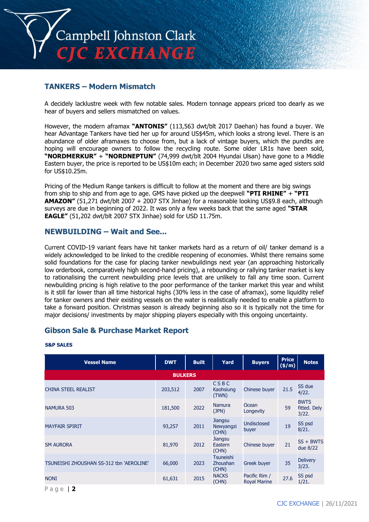

## **TANKERS – Modern Mismatch**

A decidely lacklustre week with few notable sales. Modern tonnage appears priced too dearly as we hear of buyers and sellers mismatched on values.

However, the modern aframax **"ANTONIS"** (113,563 dwt/blt 2017 Daehan) has found a buyer. We hear Advantage Tankers have tied her up for around US\$45m, which looks a strong level. There is an abundance of older aframaxes to choose from, but a lack of vintage buyers, which the pundits are hoping will encourage owners to follow the recycling route. Some older LR1s have been sold, **"NORDMERKUR"** + **"NORDNEPTUN"** (74,999 dwt/blt 2004 Hyundai Ulsan) have gone to a Middle Eastern buyer, the price is reported to be US\$10m each; in December 2020 two same aged sisters sold for US\$10.25m.

Pricing of the Medium Range tankers is difficult to follow at the moment and there are big swings from ship to ship and from age to age. GMS have picked up the deepwell **"PTI RHINE"** + **"PTI AMAZON"** (51,271 dwt/blt 2007 + 2007 STX Jinhae) for a reasonable looking US\$9.8 each, although surveys are due in beginning of 2022. It was only a few weeks back that the same aged **"STAR EAGLE"** (51,202 dwt/blt 2007 STX Jinhae) sold for USD 11.75m.

#### **NEWBUILDING – Wait and See...**

Current COVID-19 variant fears have hit tanker markets hard as a return of oil/ tanker demand is a widely acknowledged to be linked to the credible reopening of economies. Whilst there remains some solid foundations for the case for placing tanker newbuildings next year (an approaching historically low orderbook, comparatively high second-hand pricing), a rebounding or rallying tanker market is key to rationalising the current newbuilding price levels that are unlikely to fall any time soon. Current newbuilding pricing is high relative to the poor performance of the tanker market this year and whilst is it still far lower than all time historical highs (30% less in the case of aframax), some liquidity relief for tanker owners and their existing vessels on the water is realistically needed to enable a platform to take a forward position. Christmas season is already beginning also so it is typically not the time for major decisions/ investments by major shipping players especially with this ongoing uncertainty.

## **Gibson Sale & Purchase Market Report**

| <b>Vessel Name</b>                       | <b>DWT</b>     | <b>Built</b> | Yard                           | <b>Buyers</b>                        | <b>Price</b><br>(\$/m) | <b>Notes</b>                         |
|------------------------------------------|----------------|--------------|--------------------------------|--------------------------------------|------------------------|--------------------------------------|
|                                          | <b>BULKERS</b> |              |                                |                                      |                        |                                      |
| <b>CHINA STEEL REALIST</b>               | 203,512        | 2007         | CSBC<br>Kaohsiung<br>(TWN)     | Chinese buyer                        | 21.5                   | SS due<br>4/22.                      |
| NAMURA 503                               | 181,500        | 2022         | <b>Namura</b><br>(JPN)         | Ocean<br>Longevity                   | 59                     | <b>BWTS</b><br>fitted. Dely<br>3/22. |
| <b>MAYFAIR SPIRIT</b>                    | 93,257         | 2011         | Jiangsu<br>Newyangzi<br>(CHN)  | <b>Undisclosed</b><br>buyer          | 19                     | SS psd<br>8/21.                      |
| <b>SM AURORA</b>                         | 81,970         | 2012         | Jiangsu<br>Eastern<br>(CHN)    | Chinese buyer                        | 21                     | $SS + BWTS$<br>due 8/22              |
| TSUNEISHI ZHOUSHAN SS-312 tbn 'AEROLINE' | 66,000         | 2023         | Tsuneishi<br>Zhoushan<br>(CHN) | Greek buyer                          | 35                     | <b>Delivery</b><br>3/23.             |
| <b>NONI</b>                              | 61,631         | 2015         | <b>NACKS</b><br>(CHN)          | Pacific Rim /<br><b>Royal Marine</b> | 27.6                   | SS psd<br>1/21.                      |

#### **S&P SALES**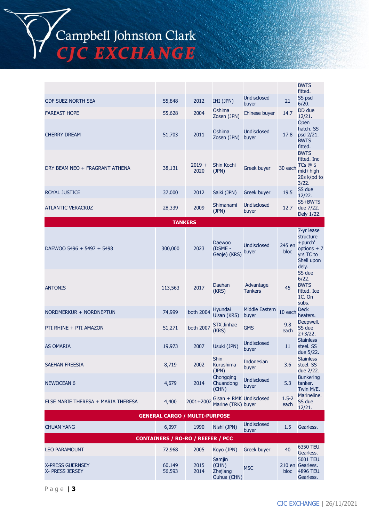

|                                                   |                  |                  |                                               |                             |                   | <b>BWTS</b><br>fitted.                                                                 |  |  |
|---------------------------------------------------|------------------|------------------|-----------------------------------------------|-----------------------------|-------------------|----------------------------------------------------------------------------------------|--|--|
| <b>GDF SUEZ NORTH SEA</b>                         | 55,848           | 2012             | IHI (JPN)                                     | Undisclosed<br>buyer        | 21                | SS psd<br>6/20.                                                                        |  |  |
| <b>FAREAST HOPE</b>                               | 55,628           | 2004             | Oshima<br>Zosen (JPN)                         | Chinese buyer               | 14.7              | DD due<br>12/21.                                                                       |  |  |
| <b>CHERRY DREAM</b>                               | 51,703           | 2011             | Oshima<br>Zosen (JPN)                         | <b>Undisclosed</b><br>buyer | 17.8              | <b>Open</b><br>hatch. SS<br>psd 2/21.<br><b>BWTS</b><br>fitted.                        |  |  |
| DRY BEAM NEO + FRAGRANT ATHENA                    | 38,131           | $2019 +$<br>2020 | Shin Kochi<br>(JPN)                           | Greek buyer                 | 30 each           | <b>BWTS</b><br>fitted. Inc<br>$TCs$ @ \$<br>mid+high<br>20s k/pd to<br>3/22.           |  |  |
| ROYAL JUSTICE                                     | 37,000           | 2012             | Saiki (JPN)                                   | Greek buyer                 | 19.5              | SS due<br>12/22.                                                                       |  |  |
| <b>ATLANTIC VERACRUZ</b>                          | 28,339           | 2009             | Shimanami<br>(JPN)                            | <b>Undisclosed</b><br>buyer | 12.7              | SS+BWTS<br>due 7/22.<br>Dely 1/22.                                                     |  |  |
|                                                   | <b>TANKERS</b>   |                  |                                               |                             |                   |                                                                                        |  |  |
| DAEWOO 5496 + 5497 + 5498                         | 300,000          | 2023             | Daewoo<br>(DSME -<br>Geoje) (KRS)             | Undisclosed<br>buyer        | 245 en<br>bloc    | 7-yr lease<br>structure<br>+purch'<br>options $+7$<br>yrs TC to<br>Shell upon<br>dely. |  |  |
| <b>ANTONIS</b>                                    | 113,563          | 2017             | Daehan<br>(KRS)                               | Advantage<br><b>Tankers</b> | 45                | SS due<br>6/22.<br><b>BWTS</b><br>fitted. Ice<br>1C. On<br>subs.                       |  |  |
| NORDMERKUR + NORDNEPTUN                           | 74,999           | both 2004        | Hyundai<br>Ulsan (KRS)                        | Middle Eastern<br>buyer     | 10 each           | <b>Deck</b><br>heaters.                                                                |  |  |
| PTI RHINE + PTI AMAZON                            | 51,271           | both 2007        | <b>STX Jinhae</b><br>(KRS)                    | <b>GMS</b>                  | 9.8<br>each       | Deepwell.<br>SS due<br>$2+3/22$ .                                                      |  |  |
| <b>AS OMARIA</b>                                  | 19,973           | 2007             | Usuki (JPN)                                   | Undisclosed<br>buyer        | 11                | <b>Stainless</b><br>steel. SS<br>due 5/22.                                             |  |  |
| SAEHAN FREESIA                                    | 8,719            | 2002             | Shin<br>Kurushima<br>(JPN)                    | Indonesian<br>buyer         | 3.6               | <b>Stainless</b><br>steel. SS<br>due 2/22.                                             |  |  |
| <b>NEWOCEAN 6</b>                                 | 4,679            | 2014             | Chongqing<br>Chuandong<br>(CHN)               | Undisclosed<br>buyer        | 5.3               | <b>Bunkering</b><br>tanker.<br>Twin M/E.                                               |  |  |
| ELSE MARIE THERESA + MARIA THERESA                | 4,400            | 2001+2002        | Gisan + RMK Undisclosed<br>Marine (TRK) buyer |                             | $1.5 - 2$<br>each | Marineline.<br>SS due<br>12/21.                                                        |  |  |
| <b>GENERAL CARGO / MULTI-PURPOSE</b>              |                  |                  |                                               |                             |                   |                                                                                        |  |  |
| <b>CHUAN YANG</b>                                 | 6,097            | 1990             | Nishi (JPN)                                   | <b>Undisclosed</b><br>buyer | 1.5               | Gearless.                                                                              |  |  |
| <b>CONTAINERS / RO-RO / REEFER / PCC</b>          |                  |                  |                                               |                             |                   |                                                                                        |  |  |
| <b>LEO PARAMOUNT</b>                              | 72,968           | 2005             | Koyo (JPN)                                    | Greek buyer                 | 40                | 6350 TEU.<br>Gearless.                                                                 |  |  |
| <b>X-PRESS GUERNSEY</b><br><b>X- PRESS JERSEY</b> | 60,149<br>56,593 | 2015<br>2014     | Samjin<br>(CHN)<br>Zhejiang<br>Ouhua (CHN)    | <b>MSC</b>                  | bloc              | 5001 TEU.<br>210 en Gearless.<br>4896 TEU.<br>Gearless.                                |  |  |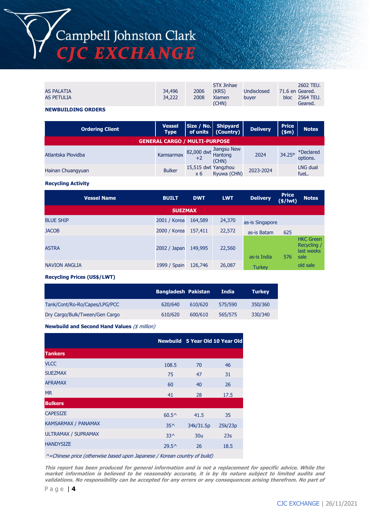Campbell Johnston Clark<br>CJC EXCHANGE

| AS PALATIA<br><b>AS PETULIA</b> | 34,496<br>34,222 | 2006<br>2008 | STX Jinhae<br>(KRS)<br><b>Xiamen</b><br>(CHN) | <b>Undisclosed</b><br>buver | bloc. | 2602 TEU.<br>71.6 en Geared.<br>2564 TEU.<br>Geared. |
|---------------------------------|------------------|--------------|-----------------------------------------------|-----------------------------|-------|------------------------------------------------------|
| <b>NEWBUILDING ORDERS</b>       |                  |              |                                               |                             |       |                                                      |

| <b>Ordering Client</b> | <b>Vessel</b><br><b>Type</b>         |                            | Size / No. Shipyard<br>of units $\sqrt{\text{Country}}$ | <b>Delivery</b> | <b>Price</b><br>$(s_m)$ | <b>Notes</b>          |
|------------------------|--------------------------------------|----------------------------|---------------------------------------------------------|-----------------|-------------------------|-----------------------|
|                        | <b>GENERAL CARGO / MULTI-PURPOSE</b> |                            |                                                         |                 |                         |                       |
| Atlantska Plovidba     | Kamsarmax                            |                            | $82,000$ dwt Jiangsu New<br>+2<br>(CHN)                 | 2024            | 34.25*                  | *Declared<br>options. |
| Hainan Chuangyuan      | <b>Bulker</b>                        | 15,515 dwt Yangzhou<br>x 6 | Ryuwa (CHN)                                             | 2023-2024       |                         | LNG dual<br>fueL.     |

#### **Recycling Activity**

| <b>Vessel Name</b>   | <b>BUILT</b>   | <b>DWT</b> | <b>LWT</b> | <b>Delivery</b> | <b>Price</b><br>$($/$ lwt $)$ | <b>Notes</b>                                          |
|----------------------|----------------|------------|------------|-----------------|-------------------------------|-------------------------------------------------------|
|                      | <b>SUEZMAX</b> |            |            |                 |                               |                                                       |
| <b>BLUE SHIP</b>     | 2001 / Korea   | 164,589    | 24,370     | as-is Singapore |                               |                                                       |
| <b>JACOB</b>         | 2000 / Korea   | 157,411    | 22,572     | as-is Batam     | 625                           |                                                       |
| <b>ASTRA</b>         | 2002 / Japan   | 149,995    | 22,560     | as-is India     | 576                           | <b>HKC</b> Green<br>Recycling /<br>last weeks<br>sale |
| <b>NAVION ANGLIA</b> | 1999 / Spain   | 126,746    | 26,087     | <b>Turkey</b>   |                               | old sale                                              |

#### **Recycling Prices (US\$/LWT)**

|                                | <b>Bangladesh Pakistan</b> |         | <b>India</b> | <b>Turkey</b> |
|--------------------------------|----------------------------|---------|--------------|---------------|
| Tank/Cont/Ro-Ro/Capes/LPG/PCC  | 620/640                    | 610/620 | 575/590      | 350/360       |
| Dry Cargo/Bulk/Tween/Gen Cargo | 610/620                    | 600/610 | 565/575      | 330/340       |

**Newbuild and Second Hand Values** (\$ million)

|                            |                | <b>Newbuild 5 Year Old 10 Year Old</b> |         |
|----------------------------|----------------|----------------------------------------|---------|
| <b>Tankers</b>             |                |                                        |         |
| <b>VLCC</b>                | 108.5          | 70                                     | 46      |
| <b>SUEZMAX</b>             | 75             | 47                                     | 31      |
| <b>AFRAMAX</b>             | 60             | 40                                     | 26      |
| <b>MR</b>                  | 41             | 28                                     | 17.5    |
| <b>Bulkers</b>             |                |                                        |         |
| <b>CAPESIZE</b>            | $60.5^{\circ}$ | 41.5                                   | 35      |
| <b>KAMSARMAX / PANAMAX</b> | $35^{\wedge}$  | 34k/31.5p                              | 25k/23p |
| ULTRAMAX / SUPRAMAX        | $33^$          | 30 <sub>u</sub>                        | 23s     |
| <b>HANDYSIZE</b>           | $29.5^{\circ}$ | 26                                     | 18.5    |
|                            |                |                                        |         |

^=Chinese price (otherwise based upon Japanese / Korean country of build)

**This report has been produced for general information and is not a replacement for specific advice. While the market information is believed to be reasonably accurate, it is by its nature subject to limited audits and validations. No responsibility can be accepted for any errors or any consequences arising therefrom. No part of**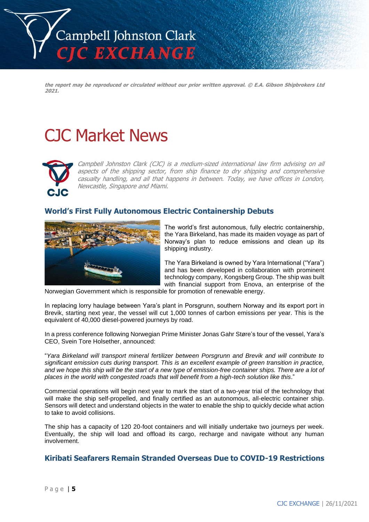

**the report may be reproduced or circulated without our prior written approval. © E.A. Gibson Shipbrokers Ltd 2021.**

# CJC Market News



Campbell Johnston Clark (CJC) is a medium-sized international law firm advising on all aspects of the shipping sector, from ship finance to dry shipping and comprehensive casualty handling, and all that happens in between. Today, we have offices in London, Newcastle, Singapore and Miami.

## **World's First Fully Autonomous Electric Containership Debuts**



The world's first autonomous, fully electric containership, the Yara Birkeland, has made its maiden voyage as part of Norway's plan to reduce emissions and clean up its shipping industry.

The Yara Birkeland is owned by Yara International ("Yara") and has been developed in collaboration with prominent technology company, Kongsberg Group. The ship was built with financial support from Enova, an enterprise of the

Norwegian Government which is responsible for promotion of renewable energy.

In replacing lorry haulage between Yara's plant in Porsgrunn, southern Norway and its export port in Brevik, starting next year, the vessel will cut 1,000 tonnes of carbon emissions per year. This is the equivalent of 40,000 diesel-powered journeys by road.

In a press conference following Norwegian Prime Minister Jonas Gahr Støre's tour of the vessel, Yara's CEO, Svein Tore Holsether, announced:

"*Yara Birkeland will transport mineral fertilizer between Porsgrunn and Brevik and will contribute to significant emission cuts during transport. This is an excellent example of green transition in practice, and we hope this ship will be the start of a new type of emission-free container ships. There are a lot of places in the world with congested roads that will benefit from a high-tech solution like this*."

Commercial operations will begin next year to mark the start of a two-year trial of the technology that will make the ship self-propelled, and finally certified as an autonomous, all-electric container ship. Sensors will detect and understand objects in the water to enable the ship to quickly decide what action to take to avoid collisions.

The ship has a capacity of 120 20-foot containers and will initially undertake two journeys per week. Eventually, the ship will load and offload its cargo, recharge and navigate without any human involvement.

#### **Kiribati Seafarers Remain Stranded Overseas Due to COVID-19 Restrictions**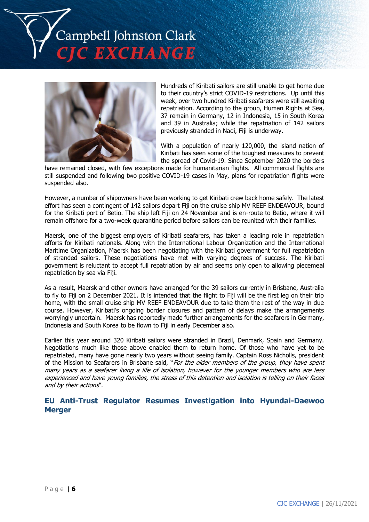



Hundreds of Kiribati sailors are still unable to get home due to their country's strict COVID-19 restrictions. Up until this week, over two hundred Kiribati seafarers were still awaiting repatriation. According to the group, Human Rights at Sea, 37 remain in Germany, 12 in Indonesia, 15 in South Korea and 39 in Australia; while the repatriation of 142 sailors previously stranded in Nadi, Fiji is underway.

With a population of nearly 120,000, the island nation of Kiribati has seen some of the toughest measures to prevent the spread of Covid-19. Since September 2020 the borders

have remained closed, with few exceptions made for humanitarian flights. All commercial flights are still suspended and following two positive COVID-19 cases in May, plans for repatriation flights were suspended also.

However, a number of shipowners have been working to get Kiribati crew back home safely. The latest effort has seen a contingent of 142 sailors depart Fiji on the cruise ship MV REEF ENDEAVOUR, bound for the Kiribati port of Betio. The ship left Fiji on 24 November and is en-route to Betio, where it will remain offshore for a two-week quarantine period before sailors can be reunited with their families.

Maersk, one of the biggest employers of Kiribati seafarers, has taken a leading role in repatriation efforts for Kiribati nationals. Along with the International Labour Organization and the International Maritime Organization, Maersk has been negotiating with the Kiribati government for full repatriation of stranded sailors. These negotiations have met with varying degrees of success. The Kiribati government is reluctant to accept full repatriation by air and seems only open to allowing piecemeal repatriation by sea via Fiji.

As a result, Maersk and other owners have arranged for the 39 sailors currently in Brisbane, Australia to fly to Fiji on 2 December 2021. It is intended that the flight to Fiji will be the first leg on their trip home, with the small cruise ship MV REEF ENDEAVOUR due to take them the rest of the way in due course. However, Kiribati's ongoing border closures and pattern of delays make the arrangements worryingly uncertain. Maersk has reportedly made further arrangements for the seafarers in Germany, Indonesia and South Korea to be flown to Fiji in early December also.

Earlier this year around 320 Kiribati sailors were stranded in Brazil, Denmark, Spain and Germany. Negotiations much like those above enabled them to return home. Of those who have yet to be repatriated, many have gone nearly two years without seeing family. Captain Ross Nicholls, president of the Mission to Seafarers in Brisbane said, "For the older members of the group, they have spent many years as a seafarer living a life of isolation, however for the younger members who are less experienced and have young families, the stress of this detention and isolation is telling on their faces and by their actions".

## **EU Anti-Trust Regulator Resumes Investigation into Hyundai-Daewoo Merger**